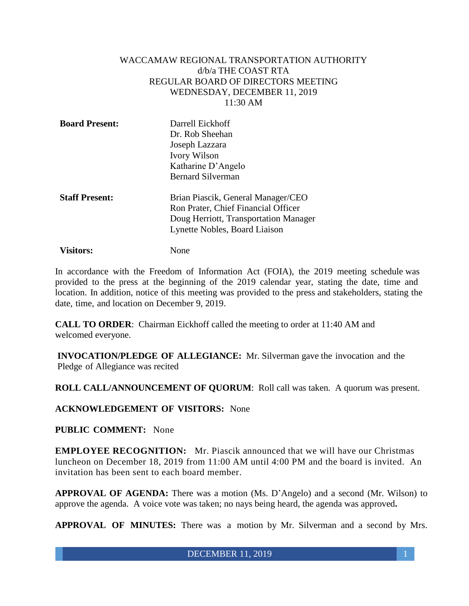### WACCAMAW REGIONAL TRANSPORTATION AUTHORITY d/b/a THE COAST RTA REGULAR BOARD OF DIRECTORS MEETING WEDNESDAY, DECEMBER 11, 2019 11:30 AM

| <b>Board Present:</b> | Darrell Eickhoff<br>Dr. Rob Sheehan<br>Joseph Lazzara<br><b>Ivory Wilson</b> |
|-----------------------|------------------------------------------------------------------------------|
|                       | Katharine D'Angelo                                                           |
|                       | <b>Bernard Silverman</b>                                                     |
| <b>Staff Present:</b> | Brian Piascik, General Manager/CEO                                           |
|                       | Ron Prater, Chief Financial Officer                                          |
|                       | Doug Herriott, Transportation Manager                                        |

Lynette Nobles, Board Liaison

**Visitors:** None

In accordance with the Freedom of Information Act (FOIA), the 2019 meeting schedule was provided to the press at the beginning of the 2019 calendar year, stating the date, time and location. In addition, notice of this meeting was provided to the press and stakeholders, stating the date, time, and location on December 9, 2019.

**CALL TO ORDER**: Chairman Eickhoff called the meeting to order at 11:40 AM and welcomed everyone.

**INVOCATION/PLEDGE OF ALLEGIANCE:** Mr. Silverman gave the invocation and the Pledge of Allegiance was recited

**ROLL CALL/ANNOUNCEMENT OF QUORUM**: Roll call was taken. A quorum was present.

**ACKNOWLEDGEMENT OF VISITORS:** None

## **PUBLIC COMMENT:** None

**EMPLOYEE RECOGNITION:** Mr. Piascik announced that we will have our Christmas luncheon on December 18, 2019 from 11:00 AM until 4:00 PM and the board is invited. An invitation has been sent to each board member.

**APPROVAL OF AGENDA:** There was a motion (Ms. D'Angelo) and a second (Mr. Wilson) to approve the agenda. A voice vote was taken; no nays being heard, the agenda was approved**.**

**APPROVAL OF MINUTES:** There was a motion by Mr. Silverman and a second by Mrs.

DECEMBER 11, 2019 1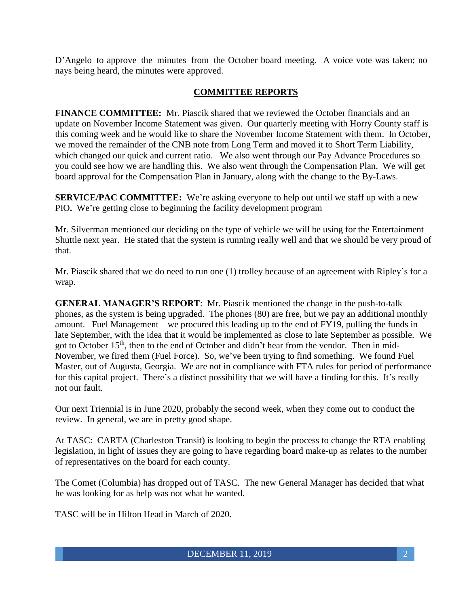D'Angelo to approve the minutes from the October board meeting. A voice vote was taken; no nays being heard, the minutes were approved.

## **COMMITTEE REPORTS**

**FINANCE COMMITTEE:** Mr. Piascik shared that we reviewed the October financials and an update on November Income Statement was given. Our quarterly meeting with Horry County staff is this coming week and he would like to share the November Income Statement with them. In October, we moved the remainder of the CNB note from Long Term and moved it to Short Term Liability, which changed our quick and current ratio. We also went through our Pay Advance Procedures so you could see how we are handling this. We also went through the Compensation Plan. We will get board approval for the Compensation Plan in January, along with the change to the By-Laws.

**SERVICE/PAC COMMITTEE:** We're asking everyone to help out until we staff up with a new PIO**.** We're getting close to beginning the facility development program

Mr. Silverman mentioned our deciding on the type of vehicle we will be using for the Entertainment Shuttle next year. He stated that the system is running really well and that we should be very proud of that.

Mr. Piascik shared that we do need to run one (1) trolley because of an agreement with Ripley's for a wrap.

**GENERAL MANAGER'S REPORT**: Mr. Piascik mentioned the change in the push-to-talk phones, as the system is being upgraded. The phones (80) are free, but we pay an additional monthly amount. Fuel Management – we procured this leading up to the end of FY19, pulling the funds in late September, with the idea that it would be implemented as close to late September as possible. We got to October 15<sup>th</sup>, then to the end of October and didn't hear from the vendor. Then in mid-November, we fired them (Fuel Force). So, we've been trying to find something. We found Fuel Master, out of Augusta, Georgia. We are not in compliance with FTA rules for period of performance for this capital project. There's a distinct possibility that we will have a finding for this. It's really not our fault.

Our next Triennial is in June 2020, probably the second week, when they come out to conduct the review. In general, we are in pretty good shape.

At TASC: CARTA (Charleston Transit) is looking to begin the process to change the RTA enabling legislation, in light of issues they are going to have regarding board make-up as relates to the number of representatives on the board for each county.

The Comet (Columbia) has dropped out of TASC. The new General Manager has decided that what he was looking for as help was not what he wanted.

TASC will be in Hilton Head in March of 2020.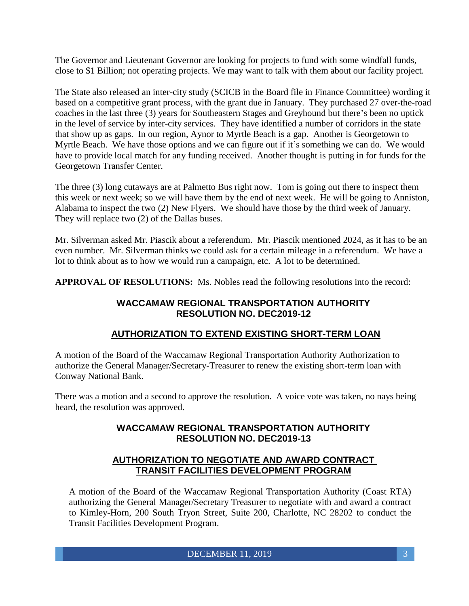The Governor and Lieutenant Governor are looking for projects to fund with some windfall funds, close to \$1 Billion; not operating projects. We may want to talk with them about our facility project.

The State also released an inter-city study (SCICB in the Board file in Finance Committee) wording it based on a competitive grant process, with the grant due in January. They purchased 27 over-the-road coaches in the last three (3) years for Southeastern Stages and Greyhound but there's been no uptick in the level of service by inter-city services. They have identified a number of corridors in the state that show up as gaps. In our region, Aynor to Myrtle Beach is a gap. Another is Georgetown to Myrtle Beach. We have those options and we can figure out if it's something we can do. We would have to provide local match for any funding received. Another thought is putting in for funds for the Georgetown Transfer Center.

The three (3) long cutaways are at Palmetto Bus right now. Tom is going out there to inspect them this week or next week; so we will have them by the end of next week. He will be going to Anniston, Alabama to inspect the two (2) New Flyers. We should have those by the third week of January. They will replace two (2) of the Dallas buses.

Mr. Silverman asked Mr. Piascik about a referendum. Mr. Piascik mentioned 2024, as it has to be an even number. Mr. Silverman thinks we could ask for a certain mileage in a referendum. We have a lot to think about as to how we would run a campaign, etc. A lot to be determined.

**APPROVAL OF RESOLUTIONS:** Ms. Nobles read the following resolutions into the record:

# **WACCAMAW REGIONAL TRANSPORTATION AUTHORITY RESOLUTION NO. DEC2019-12**

# **AUTHORIZATION TO EXTEND EXISTING SHORT-TERM LOAN**

A motion of the Board of the Waccamaw Regional Transportation Authority Authorization to authorize the General Manager/Secretary-Treasurer to renew the existing short-term loan with Conway National Bank.

There was a motion and a second to approve the resolution. A voice vote was taken, no nays being heard, the resolution was approved.

## **WACCAMAW REGIONAL TRANSPORTATION AUTHORITY RESOLUTION NO. DEC2019-13**

## **AUTHORIZATION TO NEGOTIATE AND AWARD CONTRACT TRANSIT FACILITIES DEVELOPMENT PROGRAM**

A motion of the Board of the Waccamaw Regional Transportation Authority (Coast RTA) authorizing the General Manager/Secretary Treasurer to negotiate with and award a contract to Kimley-Horn, 200 South Tryon Street, Suite 200, Charlotte, NC 28202 to conduct the Transit Facilities Development Program.